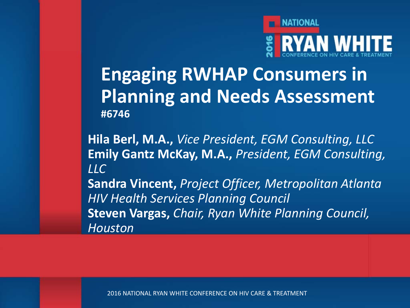

**Engaging RWHAP Consumers in Planning and Needs Assessment #6746**

**Hila Berl, M.A.,** *Vice President, EGM Consulting, LLC* **Emily Gantz McKay, M.A.,** *President, EGM Consulting, LLC*

**Sandra Vincent,** *Project Officer, Metropolitan Atlanta HIV Health Services Planning Council* **Steven Vargas,** *Chair, Ryan White Planning Council, Houston*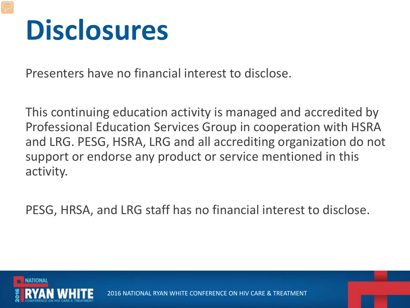## **Disclosures**

Presenters have no financial interest to disclose.

This continuing education activity is managed and accredited by Professional Education Services Group in cooperation with HSRA and LRG. PESG, HSRA, LRG and all accrediting organization do not support or endorse any product or service mentioned in this activity.

PESG, HRSA, and LRG staff has no financial interest to disclose.

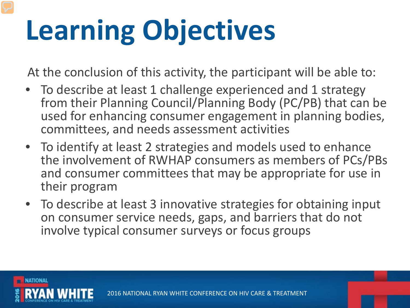# **Learning Objectives**

At the conclusion of this activity, the participant will be able to:

- To describe at least 1 challenge experienced and 1 strategy from their Planning Council/Planning Body (PC/PB) that can be used for enhancing consumer engagement in planning bodies, committees, and needs assessment activities
- To identify at least 2 strategies and models used to enhance the involvement of RWHAP consumers as members of PCs/PBs and consumer committees that may be appropriate for use in their program
- To describe at least 3 innovative strategies for obtaining input on consumer service needs, gaps, and barriers that do not involve typical consumer surveys or focus groups

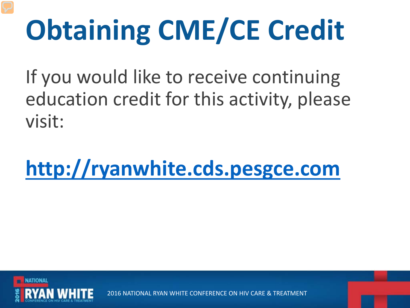# **Obtaining CME/CE Credit**

If you would like to receive continuing education credit for this activity, please visit:

**[http://ryanwhite.cds.pesgce.com](http://ryanwhite.cds.pesgce.com/hub.php)** 

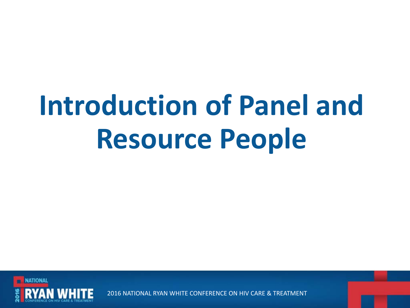# **Introduction of Panel and Resource People**

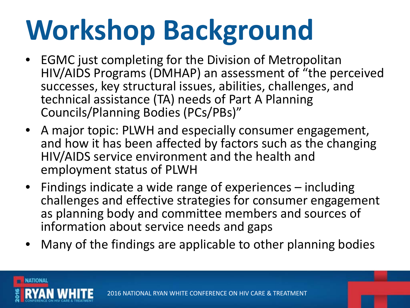# **Workshop Background**

- EGMC just completing for the Division of Metropolitan HIV/AIDS Programs (DMHAP) an assessment of "the perceived successes, key structural issues, abilities, challenges, and technical assistance (TA) needs of Part A Planning Councils/Planning Bodies (PCs/PBs)"
- A major topic: PLWH and especially consumer engagement, and how it has been affected by factors such as the changing HIV/AIDS service environment and the health and employment status of PLWH
- Findings indicate a wide range of experiences including challenges and effective strategies for consumer engagement as planning body and committee members and sources of information about service needs and gaps
- Many of the findings are applicable to other planning bodies

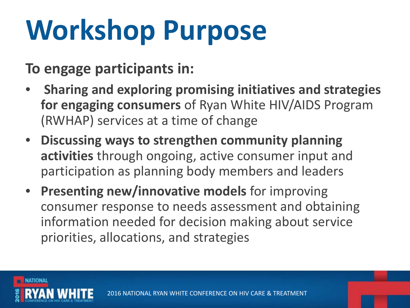# **Workshop Purpose**

**To engage participants in:**

- **Sharing and exploring promising initiatives and strategies for engaging consumers** of Ryan White HIV/AIDS Program (RWHAP) services at a time of change
- **Discussing ways to strengthen community planning activities** through ongoing, active consumer input and participation as planning body members and leaders
- **Presenting new/innovative models** for improving consumer response to needs assessment and obtaining information needed for decision making about service priorities, allocations, and strategies

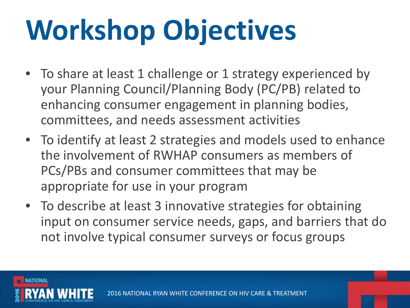# **Workshop Objectives**

- To share at least 1 challenge or 1 strategy experienced by your Planning Council/Planning Body (PC/PB) related to enhancing consumer engagement in planning bodies, committees, and needs assessment activities
- To identify at least 2 strategies and models used to enhance the involvement of RWHAP consumers as members of PCs/PBs and consumer committees that may be appropriate for use in your program
- To describe at least 3 innovative strategies for obtaining input on consumer service needs, gaps, and barriers that do not involve typical consumer surveys or focus groups

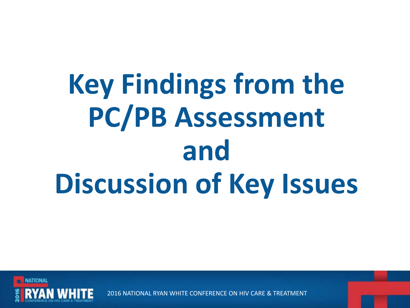# **Key Findings from the PC/PB Assessment and Discussion of Key Issues**

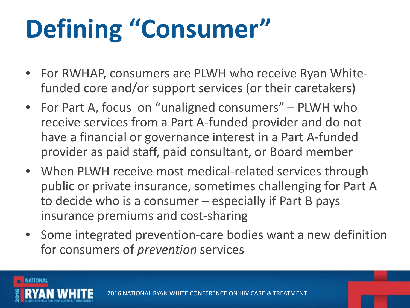## **Defining "Consumer"**

- For RWHAP, consumers are PLWH who receive Ryan Whitefunded core and/or support services (or their caretakers)
- For Part A, focus on "unaligned consumers" PLWH who receive services from a Part A-funded provider and do not have a financial or governance interest in a Part A-funded provider as paid staff, paid consultant, or Board member
- When PLWH receive most medical-related services through public or private insurance, sometimes challenging for Part A to decide who is a consumer – especially if Part B pays insurance premiums and cost-sharing
- Some integrated prevention-care bodies want a new definition for consumers of *prevention* services

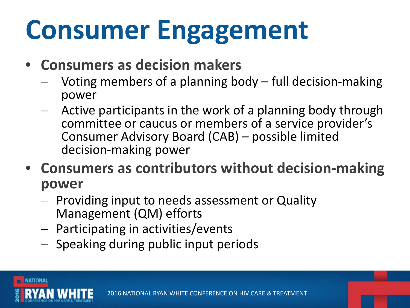# **Consumer Engagement**

- **Consumers as decision makers**
	- Voting members of a planning body full decision-making power
	- Active participants in the work of a planning body through committee or caucus or members of a service provider's Consumer Advisory Board (CAB) – possible limited decision-making power
- **Consumers as contributors without decision-making power**
	- − Providing input to needs assessment or Quality Management (QM) efforts
	- − Participating in activities/events
	- − Speaking during public input periods

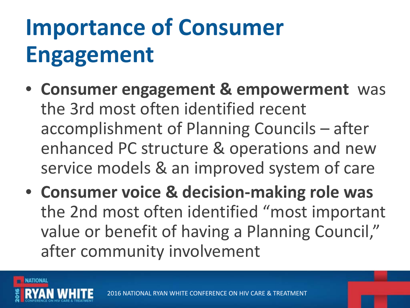## **Importance of Consumer Engagement**

- **Consumer engagement & empowerment** was the 3rd most often identified recent accomplishment of Planning Councils – after enhanced PC structure & operations and new service models & an improved system of care
- **Consumer voice & decision-making role was**  the 2nd most often identified "most important value or benefit of having a Planning Council," after community involvement

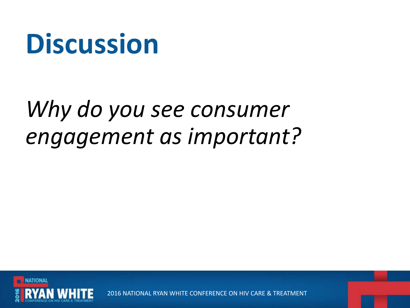#### *Why do you see consumer engagement as important?*

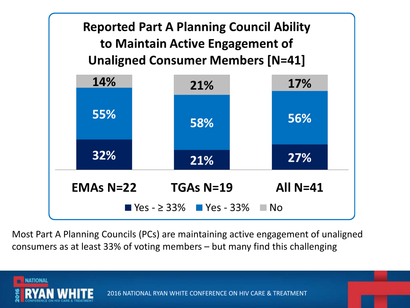

Most Part A Planning Councils (PCs) are maintaining active engagement of unaligned consumers as at least 33% of voting members – but many find this challenging

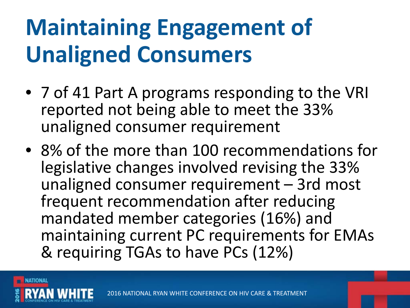### **Maintaining Engagement of Unaligned Consumers**

- 7 of 41 Part A programs responding to the VRI reported not being able to meet the 33% unaligned consumer requirement
- 8% of the more than 100 recommendations for legislative changes involved revising the 33% unaligned consumer requirement – 3rd most frequent recommendation after reducing mandated member categories (16%) and maintaining current PC requirements for EMAs & requiring TGAs to have PCs (12%)

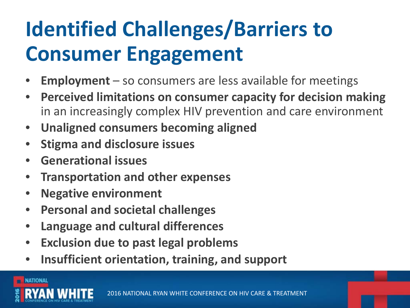#### **Identified Challenges/Barriers to Consumer Engagement**

- **Employment**  so consumers are less available for meetings
- **Perceived limitations on consumer capacity for decision making**  in an increasingly complex HIV prevention and care environment
- **Unaligned consumers becoming aligned**
- **Stigma and disclosure issues**
- **Generational issues**
- **Transportation and other expenses**
- **Negative environment**
- **Personal and societal challenges**
- **Language and cultural differences**
- **Exclusion due to past legal problems**
- **Insufficient orientation, training, and support**

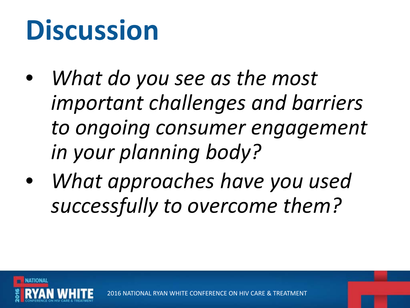- *What do you see as the most important challenges and barriers to ongoing consumer engagement in your planning body?*
- *What approaches have you used successfully to overcome them?*

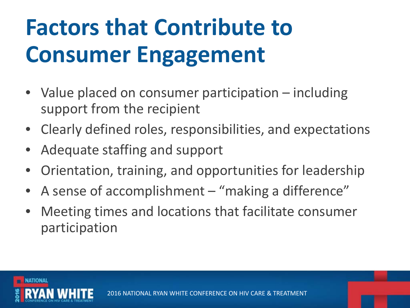### **Factors that Contribute to Consumer Engagement**

- Value placed on consumer participation including support from the recipient
- Clearly defined roles, responsibilities, and expectations
- Adequate staffing and support
- Orientation, training, and opportunities for leadership
- A sense of accomplishment "making a difference"
- Meeting times and locations that facilitate consumer participation

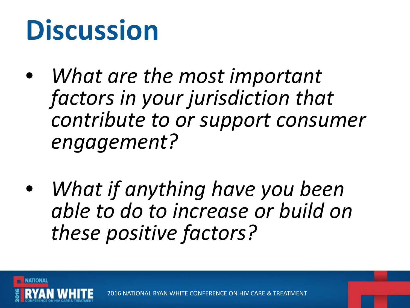- *What are the most important factors in your jurisdiction that contribute to or support consumer engagement?*
- *What if anything have you been able to do to increase or build on these positive factors?*

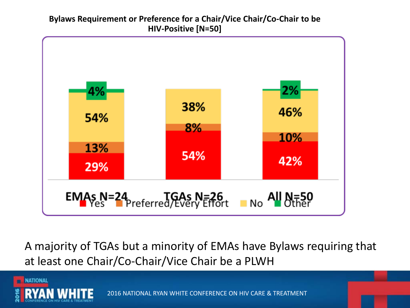#### **Bylaws Requirement or Preference for a Chair/Vice Chair/Co-Chair to be HIV-Positive [N=50]**



A majority of TGAs but a minority of EMAs have Bylaws requiring that at least one Chair/Co-Chair/Vice Chair be a PLWH

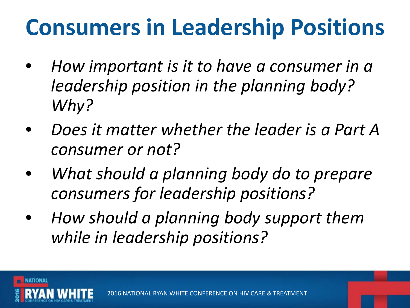#### **Consumers in Leadership Positions**

- *How important is it to have a consumer in a leadership position in the planning body? Why?*
- *Does it matter whether the leader is a Part A consumer or not?*
- *What should a planning body do to prepare consumers for leadership positions?*
- *How should a planning body support them while in leadership positions?*

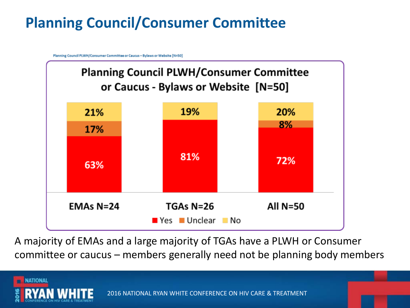#### **Planning Council/Consumer Committee**

Planning Council PLWH/Consumer Committee or Caucus - Bylaws or Website [N=50]



A majority of EMAs and a large majority of TGAs have a PLWH or Consumer committee or caucus – members generally need not be planning body members

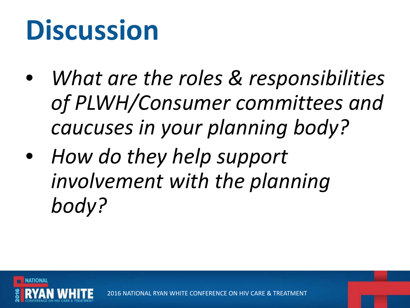- *What are the roles & responsibilities of PLWH/Consumer committees and caucuses in your planning body?*
- *How do they help support involvement with the planning body?*

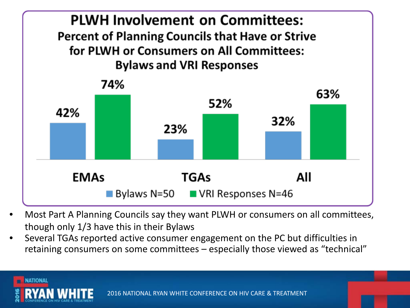

- Most Part A Planning Councils say they want PLWH or consumers on all committees, though only 1/3 have this in their Bylaws
- Several TGAs reported active consumer engagement on the PC but difficulties in retaining consumers on some committees – especially those viewed as "technical"

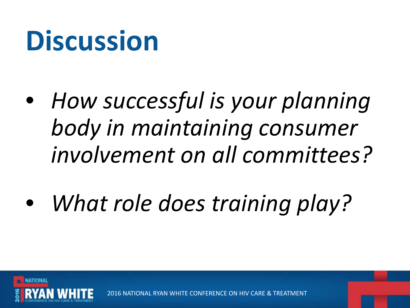- *How successful is your planning body in maintaining consumer involvement on all committees?*
- *What role does training play?*



2016 NATIONAL RYAN WHITE CONFERENCE ON HIV CARE &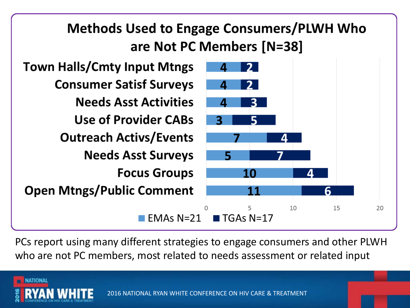

PCs report using many different strategies to engage consumers and other PLWH who are not PC members, most related to needs assessment or related input

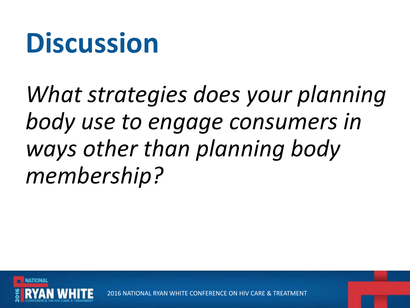*What strategies does your planning body use to engage consumers in ways other than planning body membership?* 

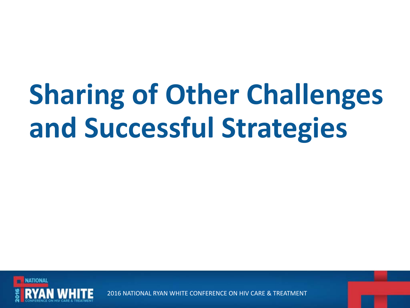# **Sharing of Other Challenges and Successful Strategies**

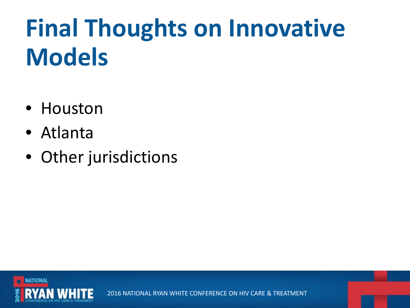## **Final Thoughts on Innovative Models**

- Houston
- Atlanta
- Other jurisdictions